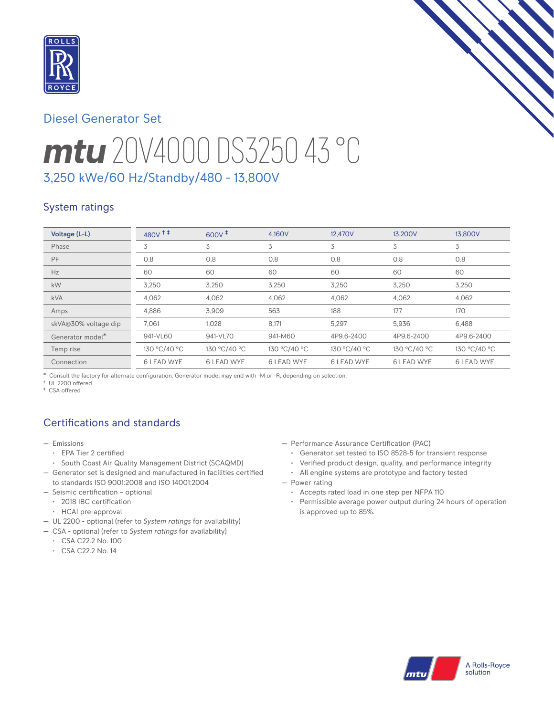

# Diesel Generator Set

# *mtu* 20V4000 DS3250 43 °C 3,250 kWe/60 Hz/Standby/480 - 13,800V

### System ratings

| Voltage (L-L)        | $480V$ <sup>++</sup> | $600V^{\ddagger}$ | 4.160V       | 12.470V           | 13,200V           | 13,800V           |
|----------------------|----------------------|-------------------|--------------|-------------------|-------------------|-------------------|
| Phase                | 3                    | 3                 | 3            | 3                 | 3                 | 3                 |
| PF                   | 0.8                  | 0.8               | 0.8          | 0.8               | 0.8               | 0.8               |
| Hz                   | 60                   | 60                | 60           | 60                | 60                | 60                |
| kW                   | 3.250                | 3.250             | 3.250        | 3.250             | 3.250             | 3.250             |
| <b>kVA</b>           | 4,062                | 4,062             | 4,062        | 4,062             | 4,062             | 4,062             |
| Amps                 | 4,886                | 3.909             | 563          | 188               | 177               | 170               |
| skVA@30% voltage dip | 7.061                | 1.028             | 8,171        | 5,297             | 5,936             | 6.488             |
| Generator model*     | 941-VL60             | 941-VL70          | 941-M60      | 4P9.6-2400        | 4P9.6-2400        | 4P9.6-2400        |
| Temp rise            | 130 °C/40 °C         | 130 °C/40 °C      | 130 °C/40 °C | 130 °C/40 °C      | 130 °C/40 °C      | 130 °C/40 °C      |
| Connection           | <b>6 LEAD WYE</b>    | <b>6 LEAD WYE</b> | 6 LEAD WYE   | <b>6 LEAD WYE</b> | <b>6 LEAD WYE</b> | <b>6 LEAD WYE</b> |

\* Consult the factory for alternate configuration. Generator model may end with -M or -R, depending on selection.

† UL 2200 offered

‡ CSA offered

# Certifications and standards

- Emissions
	- EPA Tier 2 certified
	- South Coast Air Quality Management District (SCAQMD)
- Generator set is designed and manufactured in facilities certified to standards ISO 9001:2008 and ISO 14001:2004
- Seismic certification optional
- 2018 IBC certification
- HCAI pre-approval
- UL 2200 optional (refer to *System ratings* for availability)
- CSA optional (refer to *System ratings* for availability)
	- CSA C22.2 No. 100
	- CSA C22.2 No. 14
- Performance Assurance Certification (PAC)
	- Generator set tested to ISO 8528-5 for transient response
	- Verified product design, quality, and performance integrity
	- All engine systems are prototype and factory tested
- Power rating
	- Accepts rated load in one step per NFPA 110
	- Permissible average power output during 24 hours of operation is approved up to 85%.

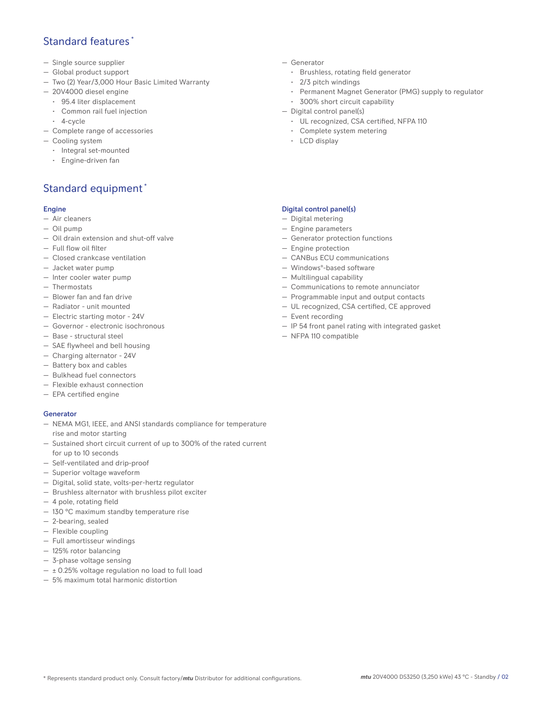### Standard features \*

- Single source supplier
- Global product support
- Two (2) Year/3,000 Hour Basic Limited Warranty
- 20V4000 diesel engine
	- 95.4 liter displacement
	- Common rail fuel injection
- 4-cycle
- Complete range of accessories
- Cooling system
	- Integral set-mounted
	- Engine-driven fan

# Standard equipment \*

#### Engine

- Air cleaners
- Oil pump
- Oil drain extension and shut-off valve
- Full flow oil filter
- Closed crankcase ventilation
- Jacket water pump
- Inter cooler water pump
- Thermostats
- Blower fan and fan drive
- Radiator unit mounted
- Electric starting motor 24V
- Governor electronic isochronous
- Base structural steel
- SAE flywheel and bell housing
- Charging alternator 24V
- Battery box and cables
- Bulkhead fuel connectors
- Flexible exhaust connection
- EPA certified engine

#### **Generator**

- NEMA MG1, IEEE, and ANSI standards compliance for temperature rise and motor starting
- Sustained short circuit current of up to 300% of the rated current for up to 10 seconds
- Self-ventilated and drip-proof
- Superior voltage waveform
- Digital, solid state, volts-per-hertz regulator
- Brushless alternator with brushless pilot exciter
- 4 pole, rotating field
- 130 °C maximum standby temperature rise
- 2-bearing, sealed
- Flexible coupling
- Full amortisseur windings
- 125% rotor balancing
- 3-phase voltage sensing
- $\pm$  0.25% voltage regulation no load to full load
- 5% maximum total harmonic distortion
- Generator
	- Brushless, rotating field generator
	- 2/3 pitch windings
	- Permanent Magnet Generator (PMG) supply to regulator
	- 300% short circuit capability
- Digital control panel(s)
	- UL recognized, CSA certified, NFPA 110
	- Complete system metering
	- LCD display

#### Digital control panel(s)

- Digital metering
- Engine parameters
- Generator protection functions
- Engine protection
- CANBus ECU communications
- Windows®-based software
- Multilingual capability
- Communications to remote annunciator
- Programmable input and output contacts
- UL recognized, CSA certified, CE approved
- Event recording
- IP 54 front panel rating with integrated gasket
- NFPA 110 compatible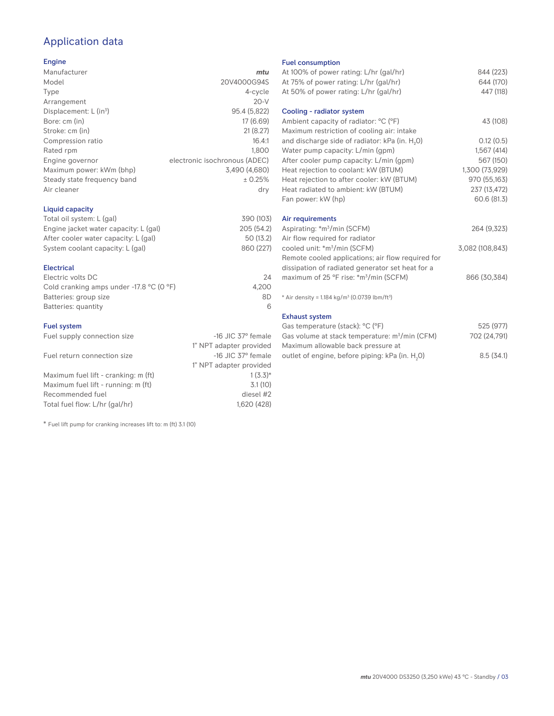# Application data

#### Engine

| Manufacturer                         | mtu                           |
|--------------------------------------|-------------------------------|
| Model                                | 20V4000G94S                   |
| Type                                 | 4-cycle                       |
| Arrangement                          | $20-V$                        |
| Displacement: $L$ (in <sup>3</sup> ) | 95.4 (5,822)                  |
| Bore: cm (in)                        | 17 (6.69)                     |
| Stroke: cm (in)                      | 21(8.27)                      |
| Compression ratio                    | 16.4:1                        |
| Rated rpm                            | 1.800                         |
| Engine governor                      | electronic isochronous (ADEC) |
| Maximum power: kWm (bhp)             | 3,490 (4,680)                 |
| Steady state frequency band          | ± 0.25%                       |
| Air cleaner                          | dry                           |
|                                      |                               |

#### Liquid capacity

| Total oil system: L (gal)             | 390 (103)  |
|---------------------------------------|------------|
| Engine jacket water capacity: L (gal) | 205 (54.2) |
| After cooler water capacity: L (gal)  | 50 (13.2)  |
| System coolant capacity: L (gal)      | 860 (227)  |
|                                       |            |

#### Electrical

| Electric volts DC                                            | 24    |
|--------------------------------------------------------------|-------|
| Cold cranking amps under -17.8 $^{\circ}$ C (O $^{\circ}$ F) | 4.200 |
| Batteries: group size                                        | 8D    |
| Batteries: quantity                                          |       |

#### Fuel system

| Fuel supply connection size          | $-16$ JIC 37 $\degree$ female |
|--------------------------------------|-------------------------------|
|                                      | 1" NPT adapter provided       |
| Fuel return connection size          | $-16$ JIC 37 $\degree$ female |
|                                      | 1" NPT adapter provided       |
| Maximum fuel lift - cranking: m (ft) | $1(3.3)*$                     |
| Maximum fuel lift - running: m (ft)  | 3.1(10)                       |
| Recommended fuel                     | diesel #2                     |
| Total fuel flow: L/hr (gal/hr)       | 1,620 (428)                   |

\* Fuel lift pump for cranking increases lift to: m (ft) 3.1 (10)

#### Fuel consumption

| At 100% of power rating: L/hr (gal/hr)                                              | 844 (223)       |
|-------------------------------------------------------------------------------------|-----------------|
| At 75% of power rating: L/hr (gal/hr)                                               | 644 (170)       |
| At 50% of power rating: L/hr (gal/hr)                                               | 447 (118)       |
| Cooling - radiator system                                                           |                 |
| Ambient capacity of radiator: °C (°F)<br>Maximum restriction of cooling air: intake | 43 (108)        |
| and discharge side of radiator: kPa (in. H <sub>2</sub> O)                          | 0.12(0.5)       |
| Water pump capacity: L/min (gpm)                                                    | 1,567(414)      |
| After cooler pump capacity: L/min (gpm)                                             | 567 (150)       |
| Heat rejection to coolant: kW (BTUM)                                                | 1,300 (73,929)  |
| Heat rejection to after cooler: kW (BTUM)                                           | 970 (55,163)    |
| Heat radiated to ambient: kW (BTUM)                                                 | 237 (13,472)    |
| Fan power: kW (hp)                                                                  | 60.6 (81.3)     |
| Air requirements                                                                    |                 |
| Aspirating: *m <sup>3</sup> /min (SCFM)                                             | 264 (9,323)     |
| Air flow required for radiator                                                      |                 |
| cooled unit: *m <sup>3</sup> /min (SCFM)                                            | 3,082 (108,843) |
| Remote cooled applications; air flow required for                                   |                 |
| dissipation of radiated generator set heat for a                                    |                 |
| maximum of 25 °F rise: *m <sup>3</sup> /min (SCFM)                                  | 866 (30,384)    |
| * Air density = $1.184 \text{ kg/m}^3$ (0.0739 lbm/ft <sup>3</sup> )                |                 |
| <b>Exhaust system</b>                                                               |                 |
| Gas temperature (stack): °C (°F)                                                    | 525 (977)       |
| Gas volume at stack temperature: m <sup>3</sup> /min (CFM)                          | 702 (24,791)    |

|                                                             | $\cdot$ $\circ$ $=$ $\cdot$ $\cdot$ $\circ$ $\cdot$ $\cdot$ |
|-------------------------------------------------------------|-------------------------------------------------------------|
| Maximum allowable back pressure at                          |                                                             |
| outlet of engine, before piping: kPa (in. H <sub>2</sub> 0) | 8.5(34.1)                                                   |